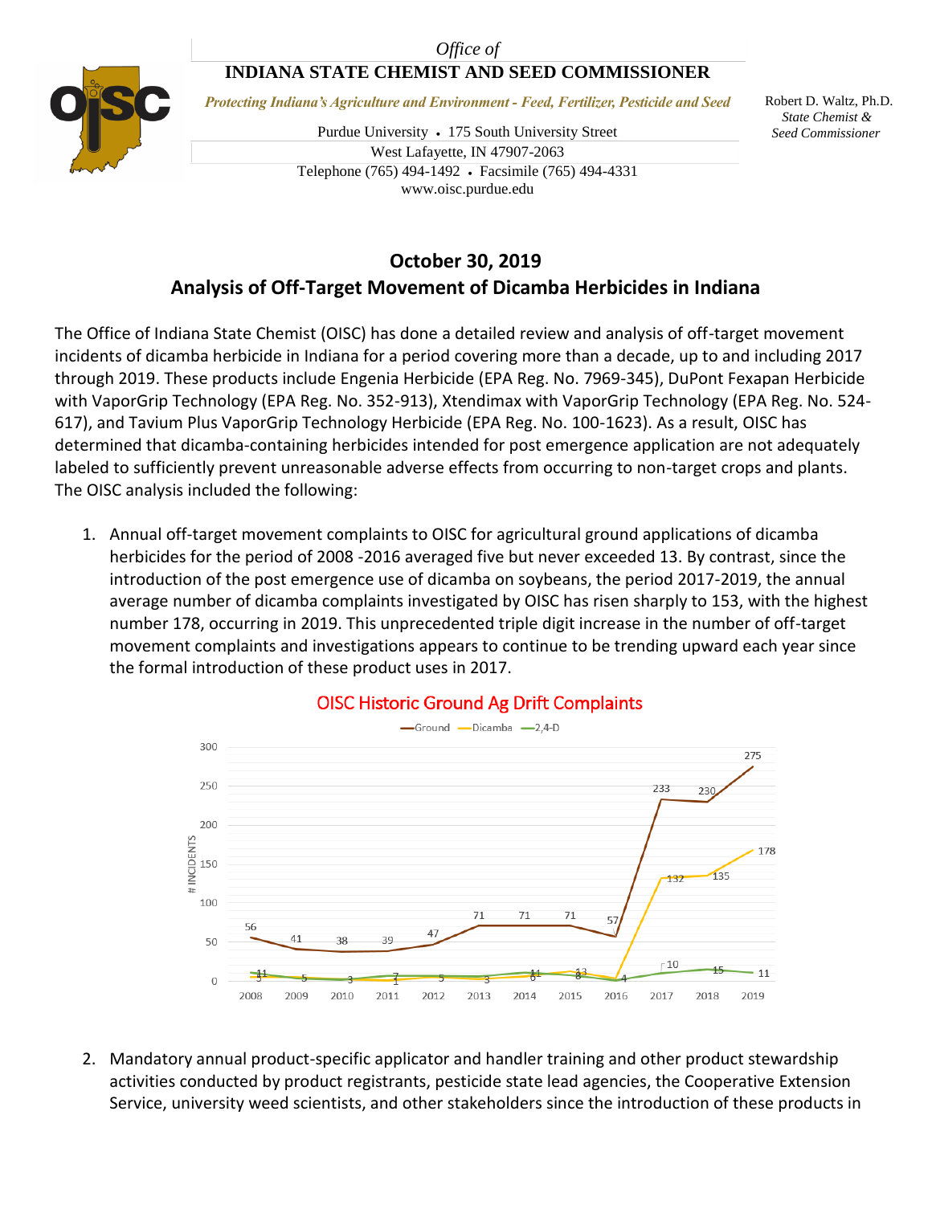### *Office of*

## **INDIANA STATE CHEMIST AND SEED COMMISSIONER**



*Protecting Indiana's Agriculture and Environment - Feed, Fertilizer, Pesticide and Seed*

Purdue University • 175 South University Street West Lafayette, IN 47907-2063 Telephone (765) 494-1492 Facsimile (765) 494-4331 www.oisc.purdue.edu

 Robert D. Waltz, Ph.D.  *State Chemist & Seed Commissioner*

# **October 30, 2019 Analysis of Off-Target Movement of Dicamba Herbicides in Indiana**

The Office of Indiana State Chemist (OISC) has done a detailed review and analysis of off-target movement incidents of dicamba herbicide in Indiana for a period covering more than a decade, up to and including 2017 through 2019. These products include Engenia Herbicide (EPA Reg. No. 7969-345), DuPont Fexapan Herbicide with VaporGrip Technology (EPA Reg. No. 352-913), Xtendimax with VaporGrip Technology (EPA Reg. No. 524- 617), and Tavium Plus VaporGrip Technology Herbicide (EPA Reg. No. 100-1623). As a result, OISC has determined that dicamba-containing herbicides intended for post emergence application are not adequately labeled to sufficiently prevent unreasonable adverse effects from occurring to non-target crops and plants. The OISC analysis included the following:

1. Annual off-target movement complaints to OISC for agricultural ground applications of dicamba herbicides for the period of 2008 -2016 averaged five but never exceeded 13. By contrast, since the introduction of the post emergence use of dicamba on soybeans, the period 2017-2019, the annual average number of dicamba complaints investigated by OISC has risen sharply to 153, with the highest number 178, occurring in 2019. This unprecedented triple digit increase in the number of off-target movement complaints and investigations appears to continue to be trending upward each year since the formal introduction of these product uses in 2017.



## **OISC Historic Ground Ag Drift Complaints**

2. Mandatory annual product-specific applicator and handler training and other product stewardship activities conducted by product registrants, pesticide state lead agencies, the Cooperative Extension Service, university weed scientists, and other stakeholders since the introduction of these products in